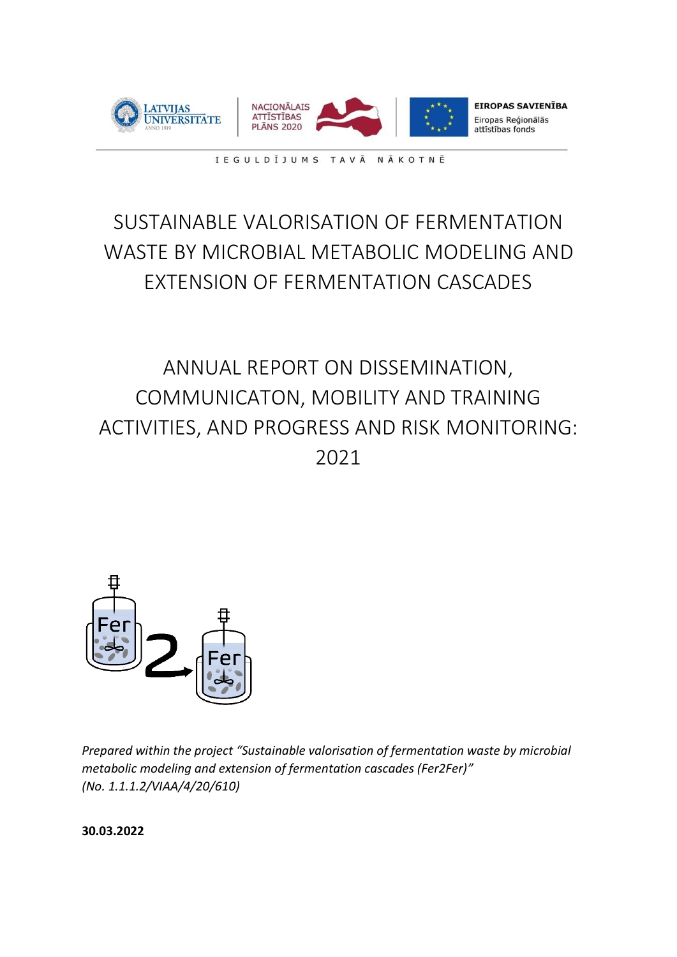

IEGULDĪJUMS TAVĀ NĀKOTNĒ

# SUSTAINABLE VALORISATION OF FERMENTATION WASTE BY MICROBIAL METABOLIC MODELING AND EXTENSION OF FERMENTATION CASCADES

# ANNUAL REPORT ON DISSEMINATION, COMMUNICATON, MOBILITY AND TRAINING ACTIVITIES, AND PROGRESS AND RISK MONITORING: 2021



*Prepared within the project "Sustainable valorisation of fermentation waste by microbial metabolic modeling and extension of fermentation cascades (Fer2Fer)" (No. 1.1.1.2/VIAA/4/20/610)*

**30.03.2022**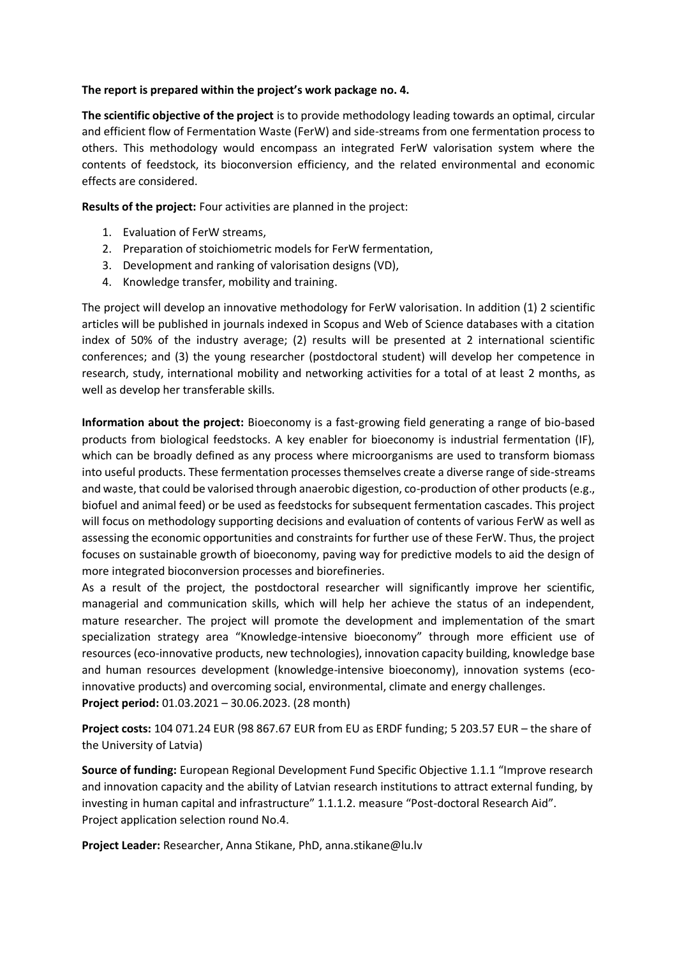#### **The report is prepared within the project's work package no. 4.**

**The scientific objective of the project** is to provide methodology leading towards an optimal, circular and efficient flow of Fermentation Waste (FerW) and side-streams from one fermentation process to others. This methodology would encompass an integrated FerW valorisation system where the contents of feedstock, its bioconversion efficiency, and the related environmental and economic effects are considered.

**Results of the project:** Four activities are planned in the project:

- 1. Evaluation of FerW streams,
- 2. Preparation of stoichiometric models for FerW fermentation,
- 3. Development and ranking of valorisation designs (VD),
- 4. Knowledge transfer, mobility and training.

The project will develop an innovative methodology for FerW valorisation. In addition (1) 2 scientific articles will be published in journals indexed in Scopus and Web of Science databases with a citation index of 50% of the industry average; (2) results will be presented at 2 international scientific conferences; and (3) the young researcher (postdoctoral student) will develop her competence in research, study, international mobility and networking activities for a total of at least 2 months, as well as develop her transferable skills.

**Information about the project:** Bioeconomy is a fast-growing field generating a range of bio-based products from biological feedstocks. A key enabler for bioeconomy is industrial fermentation (IF), which can be broadly defined as any process where microorganisms are used to transform biomass into useful products. These fermentation processes themselves create a diverse range of side-streams and waste, that could be valorised through anaerobic digestion, co-production of other products (e.g., biofuel and animal feed) or be used as feedstocks for subsequent fermentation cascades. This project will focus on methodology supporting decisions and evaluation of contents of various FerW as well as assessing the economic opportunities and constraints for further use of these FerW. Thus, the project focuses on sustainable growth of bioeconomy, paving way for predictive models to aid the design of more integrated bioconversion processes and biorefineries.

As a result of the project, the postdoctoral researcher will significantly improve her scientific, managerial and communication skills, which will help her achieve the status of an independent, mature researcher. The project will promote the development and implementation of the smart specialization strategy area "Knowledge-intensive bioeconomy" through more efficient use of resources (eco-innovative products, new technologies), innovation capacity building, knowledge base and human resources development (knowledge-intensive bioeconomy), innovation systems (ecoinnovative products) and overcoming social, environmental, climate and energy challenges. **Project period:** 01.03.2021 – 30.06.2023. (28 month)

**Project costs:** 104 071.24 EUR (98 867.67 EUR from EU as ERDF funding; 5 203.57 EUR – the share of the University of Latvia)

**Source of funding:** European Regional Development Fund Specific Objective 1.1.1 "Improve research and innovation capacity and the ability of Latvian research institutions to attract external funding, by investing in human capital and infrastructure" 1.1.1.2. measure "Post-doctoral Research Aid". Project application selection round No.4.

**Project Leader:** Researcher, Anna Stikane, PhD, anna.stikane@lu.lv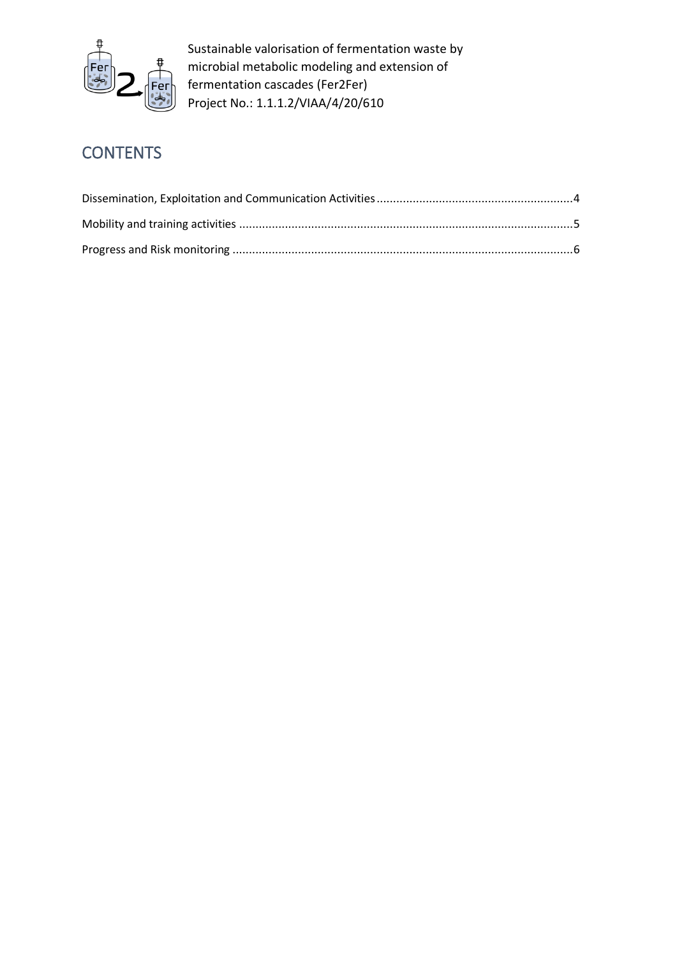

## **CONTENTS**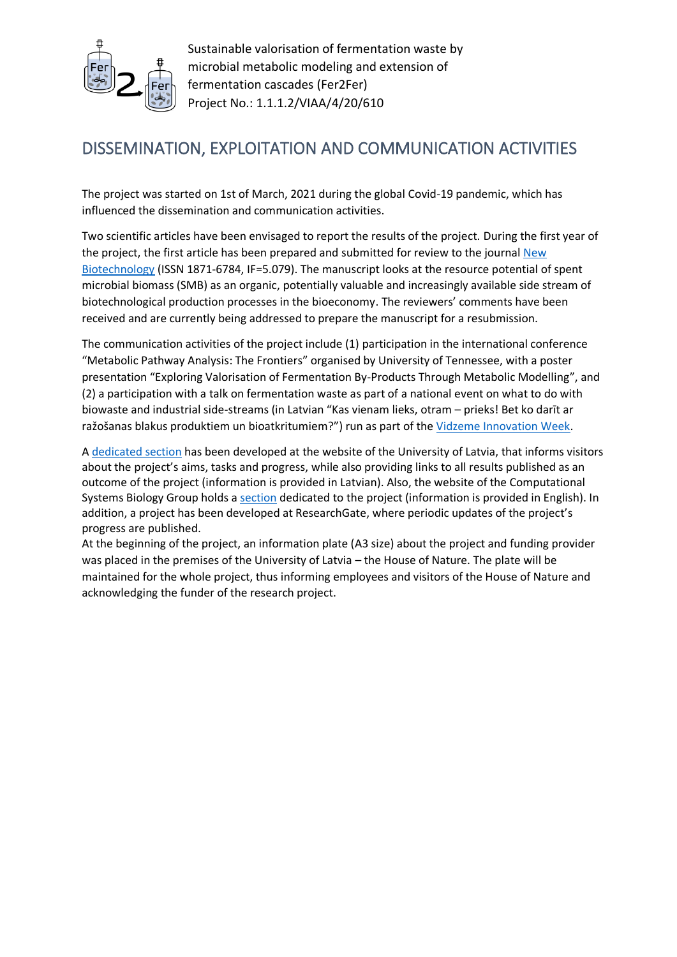

### DISSEMINATION, EXPLOITATION AND COMMUNICATION ACTIVITIES

The project was started on 1st of March, 2021 during the global Covid-19 pandemic, which has influenced the dissemination and communication activities.

Two scientific articles have been envisaged to report the results of the project. During the first year of the project, the first article has been prepared and submitted for review to the journal New [Biotechnology](https://www.sciencedirect.com/journal/new-biotechnology) (ISSN 1871-6784, IF=5.079). The manuscript looks at the resource potential of spent microbial biomass (SMB) as an organic, potentially valuable and increasingly available side stream of biotechnological production processes in the bioeconomy. The reviewers' comments have been received and are currently being addressed to prepare the manuscript for a resubmission.

The communication activities of the project include (1) participation in the international conference "Metabolic Pathway Analysis: The Frontiers" organised by University of Tennessee, with a poster presentation "Exploring Valorisation of Fermentation By-Products Through Metabolic Modelling", and (2) a participation with a talk on fermentation waste as part of a national event on what to do with biowaste and industrial side-streams (in Latvian "Kas vienam lieks, otram – prieks! Bet ko darīt ar ražošanas blakus produktiem un bioatkritumiem?") run as part of the [Vidzeme Innovation Week.](http://innovation.vidzeme.lv/lv/pasakumi/2022-02-25/kas-vienam-lieks-otram-prieks-bet-ko-darit-ar-razosanas-blakus-produktiem-un-bioatkritumiem.html)

A [dedicated section](https://www.lu.lv/zinatne/programmas-un-projekti/es-strukturfondi/1112-pasakums-pecdoktoranturas-petniecibas-atbalsts-4-karta/ilgtspejiga-fermentacijas-atkritumu-valorizacija-un-fermentacijas-kaskazu-pagarinasana-ar-mikroorganismu-metabolisma-modelesanas-palidzibu/) has been developed at the website of the University of Latvia, that informs visitors about the project's aims, tasks and progress, while also providing links to all results published as an outcome of the project (information is provided in Latvian). Also, the website of the Computational Systems Biology Group holds a [section](https://www.biosystems.lv/fer2fer) dedicated to the project (information is provided in English). In addition, a project has been developed at ResearchGate, where periodic updates of the project's progress are published.

At the beginning of the project, an information plate (A3 size) about the project and funding provider was placed in the premises of the University of Latvia – the House of Nature. The plate will be maintained for the whole project, thus informing employees and visitors of the House of Nature and acknowledging the funder of the research project.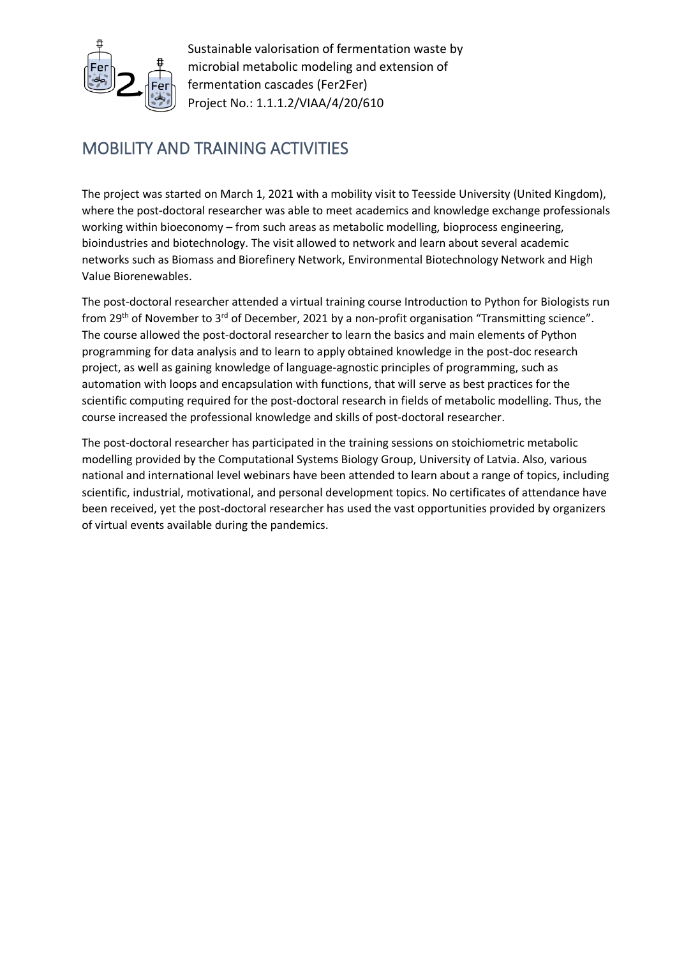

## MOBILITY AND TRAINING ACTIVITIES

The project was started on March 1, 2021 with a mobility visit to Teesside University (United Kingdom), where the post-doctoral researcher was able to meet academics and knowledge exchange professionals working within bioeconomy – from such areas as metabolic modelling, bioprocess engineering, bioindustries and biotechnology. The visit allowed to network and learn about several academic networks such as Biomass and Biorefinery Network, Environmental Biotechnology Network and High Value Biorenewables.

The post-doctoral researcher attended a virtual training course Introduction to Python for Biologists run from 29<sup>th</sup> of November to 3<sup>rd</sup> of December, 2021 by a non-profit organisation "Transmitting science". The course allowed the post-doctoral researcher to learn the basics and main elements of Python programming for data analysis and to learn to apply obtained knowledge in the post-doc research project, as well as gaining knowledge of language-agnostic principles of programming, such as automation with loops and encapsulation with functions, that will serve as best practices for the scientific computing required for the post-doctoral research in fields of metabolic modelling. Thus, the course increased the professional knowledge and skills of post-doctoral researcher.

The post-doctoral researcher has participated in the training sessions on stoichiometric metabolic modelling provided by the Computational Systems Biology Group, University of Latvia. Also, various national and international level webinars have been attended to learn about a range of topics, including scientific, industrial, motivational, and personal development topics. No certificates of attendance have been received, yet the post-doctoral researcher has used the vast opportunities provided by organizers of virtual events available during the pandemics.